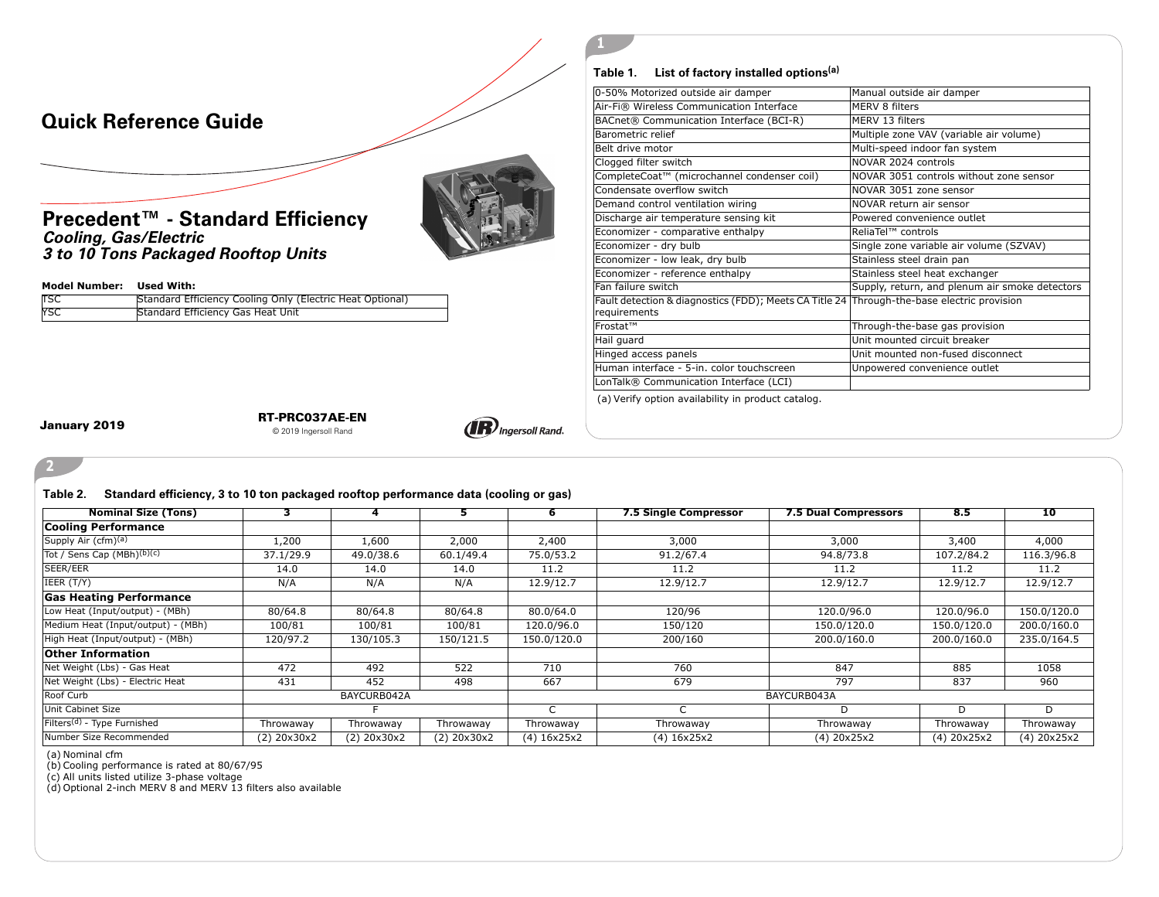

## **Table 1. List of factory installed options(a)**

**1**

| 0-50% Motorized outside air damper                                                                         | Manual outside air damper                      |
|------------------------------------------------------------------------------------------------------------|------------------------------------------------|
| Air-Fi® Wireless Communication Interface                                                                   | MFRV 8 filters                                 |
| BACnet® Communication Interface (BCI-R)                                                                    | MERV 13 filters                                |
| Barometric relief                                                                                          | Multiple zone VAV (variable air volume)        |
| Belt drive motor                                                                                           | Multi-speed indoor fan system                  |
| Clogged filter switch                                                                                      | NOVAR 2024 controls                            |
| CompleteCoat™ (microchannel condenser coil)                                                                | NOVAR 3051 controls without zone sensor        |
| Condensate overflow switch                                                                                 | NOVAR 3051 zone sensor                         |
| Demand control ventilation wiring                                                                          | NOVAR return air sensor                        |
| Discharge air temperature sensing kit                                                                      | Powered convenience outlet                     |
| Economizer - comparative enthalpy                                                                          | ReliaTel™ controls                             |
| Economizer - dry bulb                                                                                      | Single zone variable air volume (SZVAV)        |
| Economizer - low leak, dry bulb                                                                            | Stainless steel drain pan                      |
| Economizer - reference enthalpy                                                                            | Stainless steel heat exchanger                 |
| Fan failure switch                                                                                         | Supply, return, and plenum air smoke detectors |
| Fault detection & diagnostics (FDD); Meets CA Title 24 Through-the-base electric provision<br>requirements |                                                |
| Frostat™                                                                                                   | Through-the-base gas provision                 |
| Hail guard                                                                                                 | Unit mounted circuit breaker                   |
| Hinged access panels                                                                                       | Unit mounted non-fused disconnect              |
| Human interface - 5-in, color touchscreen                                                                  | Unpowered convenience outlet                   |
| LonTalk® Communication Interface (LCI)                                                                     |                                                |
|                                                                                                            |                                                |

(a) Verify option availability in product catalog.

**2**

**January 2019 RT-PRC037AE-EN** © 2019 Ingersoll Rand



**Table 2. Standard efficiency, 3 to 10 ton packaged rooftop performance data (cooling or gas)**

| <b>Nominal Size (Tons)</b>              | з.               | 4                | э.               | <b>b</b>      | <b>7.5 Single Compressor</b> | <b>7.5 Dual Compressors</b> | 8.5         | 10                    |
|-----------------------------------------|------------------|------------------|------------------|---------------|------------------------------|-----------------------------|-------------|-----------------------|
| <b>Cooling Performance</b>              |                  |                  |                  |               |                              |                             |             |                       |
| Supply Air $(cfm)^{(a)}$                | 1,200            | 1,600            | 2,000            | 2,400         | 3,000                        | 3,000                       | 3,400       | 4,000                 |
| Tot / Sens Cap (MBh) <sup>(b)(c)</sup>  | 37.1/29.9        | 49.0/38.6        | 60.1/49.4        | 75.0/53.2     | 91.2/67.4                    | 94.8/73.8                   | 107.2/84.2  | 116.3/96.8            |
| SEER/EER                                | 14.0             | 14.0             | 14.0             | 11.2          | 11.2                         | 11.2                        | 11.2        | 11.2                  |
| IEER (T/Y)                              | N/A              | N/A              | N/A              | 12.9/12.7     | 12.9/12.7                    | 12.9/12.7                   | 12.9/12.7   | 12.9/12.7             |
| <b>Gas Heating Performance</b>          |                  |                  |                  |               |                              |                             |             |                       |
| Low Heat (Input/output) - (MBh)         | 80/64.8          | 80/64.8          | 80/64.8          | 80.0/64.0     | 120/96                       | 120.0/96.0                  | 120.0/96.0  | 150.0/120.0           |
| Medium Heat (Input/output) - (MBh)      | 100/81           | 100/81           | 100/81           | 120.0/96.0    | 150/120                      | 150.0/120.0                 | 150.0/120.0 | 200.0/160.0           |
| High Heat (Input/output) - (MBh)        | 120/97.2         | 130/105.3        | 150/121.5        | 150.0/120.0   | 200/160                      | 200.0/160.0                 | 200.0/160.0 | 235.0/164.5           |
| <b>Other Information</b>                |                  |                  |                  |               |                              |                             |             |                       |
| Net Weight (Lbs) - Gas Heat             | 472              | 492              | 522              | 710           | 760                          | 847                         | 885         | 1058                  |
| Net Weight (Lbs) - Electric Heat        | 431              | 452              | 498              | 667           | 679                          | 797                         | 837         | 960                   |
| Roof Curb                               |                  | BAYCURB042A      |                  | BAYCURB043A   |                              |                             |             |                       |
| Unit Cabinet Size                       |                  |                  |                  | $\sim$<br>◡   |                              | D                           | D           | D                     |
| Filters <sup>(d)</sup> - Type Furnished | Throwaway        | Throwaway        | Throwaway        | Throwaway     | Throwaway                    | Throwaway                   | Throwaway   | Throwaway             |
| Number Size Recommended                 | $(2)$ 20 $x30x2$ | $(2)$ 20 $x30x2$ | $(2)$ 20 $x30x2$ | $(4)$ 16x25x2 | $(4)$ 16x25x2                | $(4)$ 20 $x$ 25 $x$ 2       | (4) 20x25x2 | $(4)$ 20 $x$ 25 $x$ 2 |

(a) Nominal cfm

(b) Cooling performance is rated at 80/67/95 (c) All units listed utilize 3-phase voltage

YSC Standard Efficiency Gas Heat Unit

(d) Optional 2-inch MERV 8 and MERV 13 filters also available